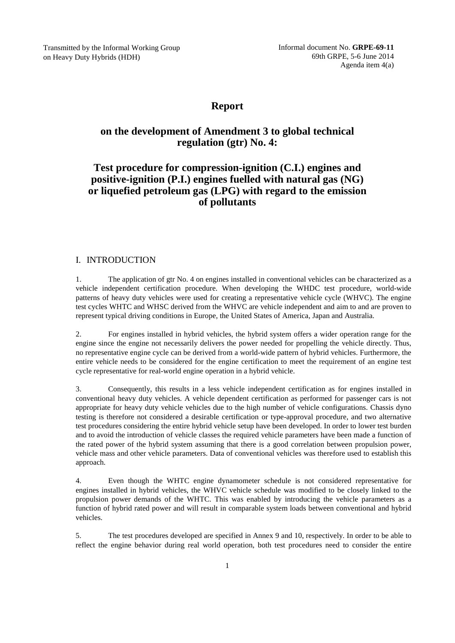Transmitted by the Informal Working Group on Heavy Duty Hybrids (HDH)

# **Report**

# **on the development of Amendment 3 to global technical regulation (gtr) No. 4:**

# **Test procedure for compression-ignition (C.I.) engines and positive-ignition (P.I.) engines fuelled with natural gas (NG) or liquefied petroleum gas (LPG) with regard to the emission of pollutants**

## I. INTRODUCTION

1. The application of gtr No. 4 on engines installed in conventional vehicles can be characterized as a vehicle independent certification procedure. When developing the WHDC test procedure, world-wide patterns of heavy duty vehicles were used for creating a representative vehicle cycle (WHVC). The engine test cycles WHTC and WHSC derived from the WHVC are vehicle independent and aim to and are proven to represent typical driving conditions in Europe, the United States of America, Japan and Australia.

2. For engines installed in hybrid vehicles, the hybrid system offers a wider operation range for the engine since the engine not necessarily delivers the power needed for propelling the vehicle directly. Thus, no representative engine cycle can be derived from a world-wide pattern of hybrid vehicles. Furthermore, the entire vehicle needs to be considered for the engine certification to meet the requirement of an engine test cycle representative for real-world engine operation in a hybrid vehicle.

3. Consequently, this results in a less vehicle independent certification as for engines installed in conventional heavy duty vehicles. A vehicle dependent certification as performed for passenger cars is not appropriate for heavy duty vehicle vehicles due to the high number of vehicle configurations. Chassis dyno testing is therefore not considered a desirable certification or type-approval procedure, and two alternative test procedures considering the entire hybrid vehicle setup have been developed. In order to lower test burden and to avoid the introduction of vehicle classes the required vehicle parameters have been made a function of the rated power of the hybrid system assuming that there is a good correlation between propulsion power, vehicle mass and other vehicle parameters. Data of conventional vehicles was therefore used to establish this approach.

4. Even though the WHTC engine dynamometer schedule is not considered representative for engines installed in hybrid vehicles, the WHVC vehicle schedule was modified to be closely linked to the propulsion power demands of the WHTC. This was enabled by introducing the vehicle parameters as a function of hybrid rated power and will result in comparable system loads between conventional and hybrid vehicles.

5. The test procedures developed are specified in Annex 9 and 10, respectively. In order to be able to reflect the engine behavior during real world operation, both test procedures need to consider the entire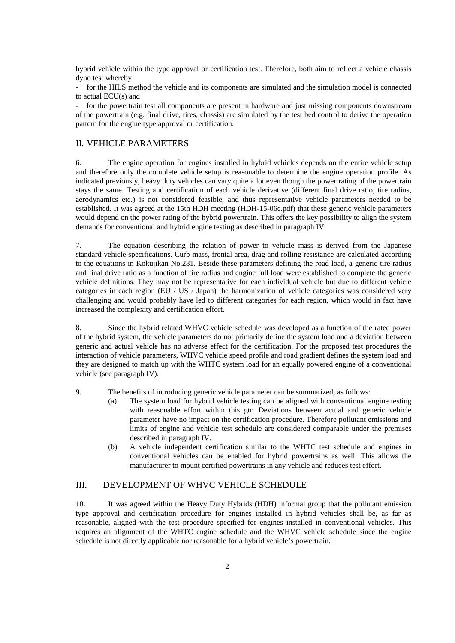hybrid vehicle within the type approval or certification test. Therefore, both aim to reflect a vehicle chassis dyno test whereby

- for the HILS method the vehicle and its components are simulated and the simulation model is connected to actual ECU(s) and

for the powertrain test all components are present in hardware and just missing components downstream of the powertrain (e.g. final drive, tires, chassis) are simulated by the test bed control to derive the operation pattern for the engine type approval or certification.

### II. VEHICLE PARAMETERS

6. The engine operation for engines installed in hybrid vehicles depends on the entire vehicle setup and therefore only the complete vehicle setup is reasonable to determine the engine operation profile. As indicated previously, heavy duty vehicles can vary quite a lot even though the power rating of the powertrain stays the same. Testing and certification of each vehicle derivative (different final drive ratio, tire radius, aerodynamics etc.) is not considered feasible, and thus representative vehicle parameters needed to be established. It was agreed at the 15th HDH meeting (HDH-15-06e.pdf) that these generic vehicle parameters would depend on the power rating of the hybrid powertrain. This offers the key possibility to align the system demands for conventional and hybrid engine testing as described in paragraph IV.

7. The equation describing the relation of power to vehicle mass is derived from the Japanese standard vehicle specifications. Curb mass, frontal area, drag and rolling resistance are calculated according to the equations in Kokujikan No.281. Beside these parameters defining the road load, a generic tire radius and final drive ratio as a function of tire radius and engine full load were established to complete the generic vehicle definitions. They may not be representative for each individual vehicle but due to different vehicle categories in each region (EU / US / Japan) the harmonization of vehicle categories was considered very challenging and would probably have led to different categories for each region, which would in fact have increased the complexity and certification effort.

8. Since the hybrid related WHVC vehicle schedule was developed as a function of the rated power of the hybrid system, the vehicle parameters do not primarily define the system load and a deviation between generic and actual vehicle has no adverse effect for the certification. For the proposed test procedures the interaction of vehicle parameters, WHVC vehicle speed profile and road gradient defines the system load and they are designed to match up with the WHTC system load for an equally powered engine of a conventional vehicle (see paragraph IV).

9. The benefits of introducing generic vehicle parameter can be summarized, as follows:

- (a) The system load for hybrid vehicle testing can be aligned with conventional engine testing with reasonable effort within this gtr. Deviations between actual and generic vehicle parameter have no impact on the certification procedure. Therefore pollutant emissions and limits of engine and vehicle test schedule are considered comparable under the premises described in paragraph IV.
- (b) A vehicle independent certification similar to the WHTC test schedule and engines in conventional vehicles can be enabled for hybrid powertrains as well. This allows the manufacturer to mount certified powertrains in any vehicle and reduces test effort.

### III. DEVELOPMENT OF WHVC VEHICLE SCHEDULE

10. It was agreed within the Heavy Duty Hybrids (HDH) informal group that the pollutant emission type approval and certification procedure for engines installed in hybrid vehicles shall be, as far as reasonable, aligned with the test procedure specified for engines installed in conventional vehicles. This requires an alignment of the WHTC engine schedule and the WHVC vehicle schedule since the engine schedule is not directly applicable nor reasonable for a hybrid vehicle's powertrain.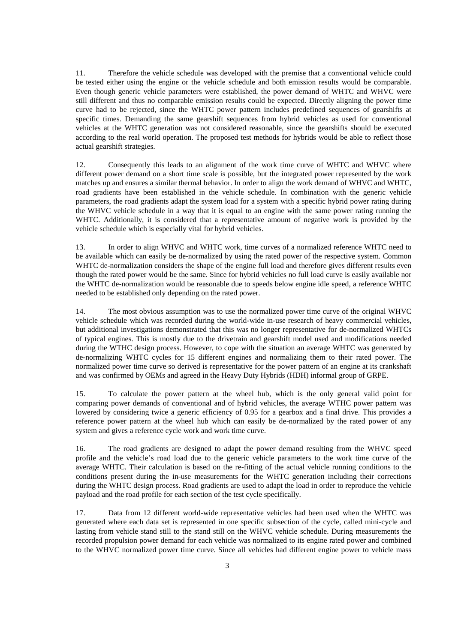11. Therefore the vehicle schedule was developed with the premise that a conventional vehicle could be tested either using the engine or the vehicle schedule and both emission results would be comparable. Even though generic vehicle parameters were established, the power demand of WHTC and WHVC were still different and thus no comparable emission results could be expected. Directly aligning the power time curve had to be rejected, since the WHTC power pattern includes predefined sequences of gearshifts at specific times. Demanding the same gearshift sequences from hybrid vehicles as used for conventional vehicles at the WHTC generation was not considered reasonable, since the gearshifts should be executed according to the real world operation. The proposed test methods for hybrids would be able to reflect those actual gearshift strategies.

12. Consequently this leads to an alignment of the work time curve of WHTC and WHVC where different power demand on a short time scale is possible, but the integrated power represented by the work matches up and ensures a similar thermal behavior. In order to align the work demand of WHVC and WHTC, road gradients have been established in the vehicle schedule. In combination with the generic vehicle parameters, the road gradients adapt the system load for a system with a specific hybrid power rating during the WHVC vehicle schedule in a way that it is equal to an engine with the same power rating running the WHTC. Additionally, it is considered that a representative amount of negative work is provided by the vehicle schedule which is especially vital for hybrid vehicles.

13. In order to align WHVC and WHTC work, time curves of a normalized reference WHTC need to be available which can easily be de-normalized by using the rated power of the respective system. Common WHTC de-normalization considers the shape of the engine full load and therefore gives different results even though the rated power would be the same. Since for hybrid vehicles no full load curve is easily available nor the WHTC de-normalization would be reasonable due to speeds below engine idle speed, a reference WHTC needed to be established only depending on the rated power.

14. The most obvious assumption was to use the normalized power time curve of the original WHVC vehicle schedule which was recorded during the world-wide in-use research of heavy commercial vehicles, but additional investigations demonstrated that this was no longer representative for de-normalized WHTCs of typical engines. This is mostly due to the drivetrain and gearshift model used and modifications needed during the WTHC design process. However, to cope with the situation an average WHTC was generated by de-normalizing WHTC cycles for 15 different engines and normalizing them to their rated power. The normalized power time curve so derived is representative for the power pattern of an engine at its crankshaft and was confirmed by OEMs and agreed in the Heavy Duty Hybrids (HDH) informal group of GRPE.

15. To calculate the power pattern at the wheel hub, which is the only general valid point for comparing power demands of conventional and of hybrid vehicles, the average WTHC power pattern was lowered by considering twice a generic efficiency of 0.95 for a gearbox and a final drive. This provides a reference power pattern at the wheel hub which can easily be de-normalized by the rated power of any system and gives a reference cycle work and work time curve.

16. The road gradients are designed to adapt the power demand resulting from the WHVC speed profile and the vehicle's road load due to the generic vehicle parameters to the work time curve of the average WHTC. Their calculation is based on the re-fitting of the actual vehicle running conditions to the conditions present during the in-use measurements for the WHTC generation including their corrections during the WHTC design process. Road gradients are used to adapt the load in order to reproduce the vehicle payload and the road profile for each section of the test cycle specifically.

17. Data from 12 different world-wide representative vehicles had been used when the WHTC was generated where each data set is represented in one specific subsection of the cycle, called mini-cycle and lasting from vehicle stand still to the stand still on the WHVC vehicle schedule. During measurements the recorded propulsion power demand for each vehicle was normalized to its engine rated power and combined to the WHVC normalized power time curve. Since all vehicles had different engine power to vehicle mass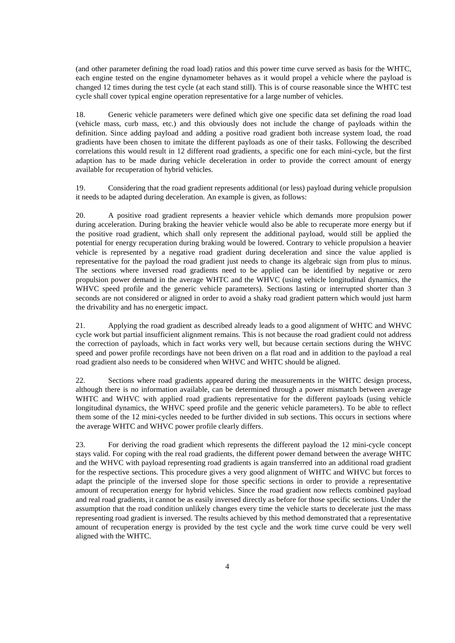(and other parameter defining the road load) ratios and this power time curve served as basis for the WHTC, each engine tested on the engine dynamometer behaves as it would propel a vehicle where the payload is changed 12 times during the test cycle (at each stand still). This is of course reasonable since the WHTC test cycle shall cover typical engine operation representative for a large number of vehicles.

18. Generic vehicle parameters were defined which give one specific data set defining the road load (vehicle mass, curb mass, etc.) and this obviously does not include the change of payloads within the definition. Since adding payload and adding a positive road gradient both increase system load, the road gradients have been chosen to imitate the different payloads as one of their tasks. Following the described correlations this would result in 12 different road gradients, a specific one for each mini-cycle, but the first adaption has to be made during vehicle deceleration in order to provide the correct amount of energy available for recuperation of hybrid vehicles.

19. Considering that the road gradient represents additional (or less) payload during vehicle propulsion it needs to be adapted during deceleration. An example is given, as follows:

20. A positive road gradient represents a heavier vehicle which demands more propulsion power during acceleration. During braking the heavier vehicle would also be able to recuperate more energy but if the positive road gradient, which shall only represent the additional payload, would still be applied the potential for energy recuperation during braking would be lowered. Contrary to vehicle propulsion a heavier vehicle is represented by a negative road gradient during deceleration and since the value applied is representative for the payload the road gradient just needs to change its algebraic sign from plus to minus. The sections where inversed road gradients need to be applied can be identified by negative or zero propulsion power demand in the average WHTC and the WHVC (using vehicle longitudinal dynamics, the WHVC speed profile and the generic vehicle parameters). Sections lasting or interrupted shorter than 3 seconds are not considered or aligned in order to avoid a shaky road gradient pattern which would just harm the drivability and has no energetic impact.

21. Applying the road gradient as described already leads to a good alignment of WHTC and WHVC cycle work but partial insufficient alignment remains. This is not because the road gradient could not address the correction of payloads, which in fact works very well, but because certain sections during the WHVC speed and power profile recordings have not been driven on a flat road and in addition to the payload a real road gradient also needs to be considered when WHVC and WHTC should be aligned.

22. Sections where road gradients appeared during the measurements in the WHTC design process, although there is no information available, can be determined through a power mismatch between average WHTC and WHVC with applied road gradients representative for the different payloads (using vehicle longitudinal dynamics, the WHVC speed profile and the generic vehicle parameters). To be able to reflect them some of the 12 mini-cycles needed to be further divided in sub sections. This occurs in sections where the average WHTC and WHVC power profile clearly differs.

23. For deriving the road gradient which represents the different payload the 12 mini-cycle concept stays valid. For coping with the real road gradients, the different power demand between the average WHTC and the WHVC with payload representing road gradients is again transferred into an additional road gradient for the respective sections. This procedure gives a very good alignment of WHTC and WHVC but forces to adapt the principle of the inversed slope for those specific sections in order to provide a representative amount of recuperation energy for hybrid vehicles. Since the road gradient now reflects combined payload and real road gradients, it cannot be as easily inversed directly as before for those specific sections. Under the assumption that the road condition unlikely changes every time the vehicle starts to decelerate just the mass representing road gradient is inversed. The results achieved by this method demonstrated that a representative amount of recuperation energy is provided by the test cycle and the work time curve could be very well aligned with the WHTC.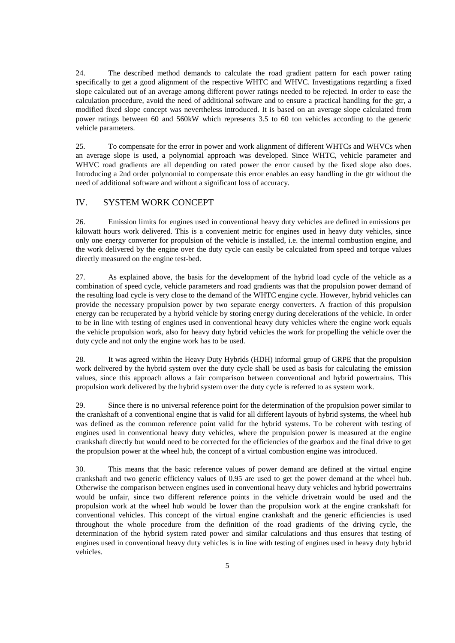24. The described method demands to calculate the road gradient pattern for each power rating specifically to get a good alignment of the respective WHTC and WHVC. Investigations regarding a fixed slope calculated out of an average among different power ratings needed to be rejected. In order to ease the calculation procedure, avoid the need of additional software and to ensure a practical handling for the gtr, a modified fixed slope concept was nevertheless introduced. It is based on an average slope calculated from power ratings between 60 and 560kW which represents 3.5 to 60 ton vehicles according to the generic vehicle parameters.

25. To compensate for the error in power and work alignment of different WHTCs and WHVCs when an average slope is used, a polynomial approach was developed. Since WHTC, vehicle parameter and WHVC road gradients are all depending on rated power the error caused by the fixed slope also does. Introducing a 2nd order polynomial to compensate this error enables an easy handling in the gtr without the need of additional software and without a significant loss of accuracy.

## IV. SYSTEM WORK CONCEPT

26. Emission limits for engines used in conventional heavy duty vehicles are defined in emissions per kilowatt hours work delivered. This is a convenient metric for engines used in heavy duty vehicles, since only one energy converter for propulsion of the vehicle is installed, i.e. the internal combustion engine, and the work delivered by the engine over the duty cycle can easily be calculated from speed and torque values directly measured on the engine test-bed.

27. As explained above, the basis for the development of the hybrid load cycle of the vehicle as a combination of speed cycle, vehicle parameters and road gradients was that the propulsion power demand of the resulting load cycle is very close to the demand of the WHTC engine cycle. However, hybrid vehicles can provide the necessary propulsion power by two separate energy converters. A fraction of this propulsion energy can be recuperated by a hybrid vehicle by storing energy during decelerations of the vehicle. In order to be in line with testing of engines used in conventional heavy duty vehicles where the engine work equals the vehicle propulsion work, also for heavy duty hybrid vehicles the work for propelling the vehicle over the duty cycle and not only the engine work has to be used.

28. It was agreed within the Heavy Duty Hybrids (HDH) informal group of GRPE that the propulsion work delivered by the hybrid system over the duty cycle shall be used as basis for calculating the emission values, since this approach allows a fair comparison between conventional and hybrid powertrains. This propulsion work delivered by the hybrid system over the duty cycle is referred to as system work.

29. Since there is no universal reference point for the determination of the propulsion power similar to the crankshaft of a conventional engine that is valid for all different layouts of hybrid systems, the wheel hub was defined as the common reference point valid for the hybrid systems. To be coherent with testing of engines used in conventional heavy duty vehicles, where the propulsion power is measured at the engine crankshaft directly but would need to be corrected for the efficiencies of the gearbox and the final drive to get the propulsion power at the wheel hub, the concept of a virtual combustion engine was introduced.

30. This means that the basic reference values of power demand are defined at the virtual engine crankshaft and two generic efficiency values of 0.95 are used to get the power demand at the wheel hub. Otherwise the comparison between engines used in conventional heavy duty vehicles and hybrid powertrains would be unfair, since two different reference points in the vehicle drivetrain would be used and the propulsion work at the wheel hub would be lower than the propulsion work at the engine crankshaft for conventional vehicles. This concept of the virtual engine crankshaft and the generic efficiencies is used throughout the whole procedure from the definition of the road gradients of the driving cycle, the determination of the hybrid system rated power and similar calculations and thus ensures that testing of engines used in conventional heavy duty vehicles is in line with testing of engines used in heavy duty hybrid vehicles.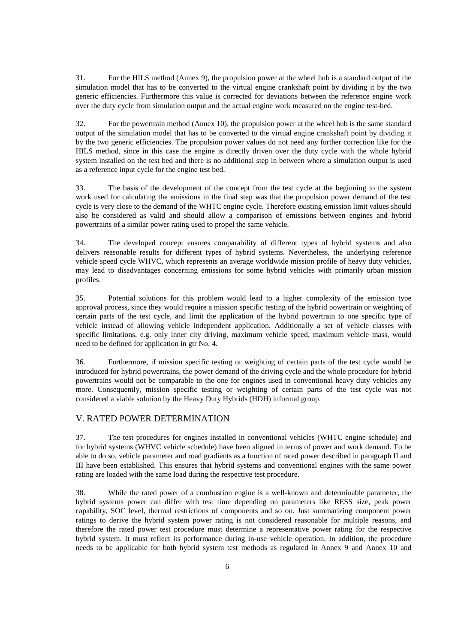31. For the HILS method (Annex 9), the propulsion power at the wheel hub is a standard output of the simulation model that has to be converted to the virtual engine crankshaft point by dividing it by the two generic efficiencies. Furthermore this value is corrected for deviations between the reference engine work over the duty cycle from simulation output and the actual engine work measured on the engine test-bed.

32. For the powertrain method (Annex 10), the propulsion power at the wheel hub is the same standard output of the simulation model that has to be converted to the virtual engine crankshaft point by dividing it by the two generic efficiencies. The propulsion power values do not need any further correction like for the HILS method, since in this case the engine is directly driven over the duty cycle with the whole hybrid system installed on the test bed and there is no additional step in between where a simulation output is used as a reference input cycle for the engine test bed.

33. The basis of the development of the concept from the test cycle at the beginning to the system work used for calculating the emissions in the final step was that the propulsion power demand of the test cycle is very close to the demand of the WHTC engine cycle. Therefore existing emission limit values should also be considered as valid and should allow a comparison of emissions between engines and hybrid powertrains of a similar power rating used to propel the same vehicle.

34. The developed concept ensures comparability of different types of hybrid systems and also delivers reasonable results for different types of hybrid systems. Nevertheless, the underlying reference vehicle speed cycle WHVC, which represents an average worldwide mission profile of heavy duty vehicles, may lead to disadvantages concerning emissions for some hybrid vehicles with primarily urban mission profiles.

35. Potential solutions for this problem would lead to a higher complexity of the emission type approval process, since they would require a mission specific testing of the hybrid powertrain or weighting of certain parts of the test cycle, and limit the application of the hybrid powertrain to one specific type of vehicle instead of allowing vehicle independent application. Additionally a set of vehicle classes with specific limitations, e.g. only inner city driving, maximum vehicle speed, maximum vehicle mass, would need to be defined for application in gtr No. 4.

36. Furthermore, if mission specific testing or weighting of certain parts of the test cycle would be introduced for hybrid powertrains, the power demand of the driving cycle and the whole procedure for hybrid powertrains would not be comparable to the one for engines used in conventional heavy duty vehicles any more. Consequently, mission specific testing or weighting of certain parts of the test cycle was not considered a viable solution by the Heavy Duty Hybrids (HDH) informal group.

### V. RATED POWER DETERMINATION

37. The test procedures for engines installed in conventional vehicles (WHTC engine schedule) and for hybrid systems (WHVC vehicle schedule) have been aligned in terms of power and work demand. To be able to do so, vehicle parameter and road gradients as a function of rated power described in paragraph II and III have been established. This ensures that hybrid systems and conventional engines with the same power rating are loaded with the same load during the respective test procedure.

38. While the rated power of a combustion engine is a well-known and determinable parameter, the hybrid systems power can differ with test time depending on parameters like RESS size, peak power capability, SOC level, thermal restrictions of components and so on. Just summarizing component power ratings to derive the hybrid system power rating is not considered reasonable for multiple reasons, and therefore the rated power test procedure must determine a representative power rating for the respective hybrid system. It must reflect its performance during in-use vehicle operation. In addition, the procedure needs to be applicable for both hybrid system test methods as regulated in Annex 9 and Annex 10 and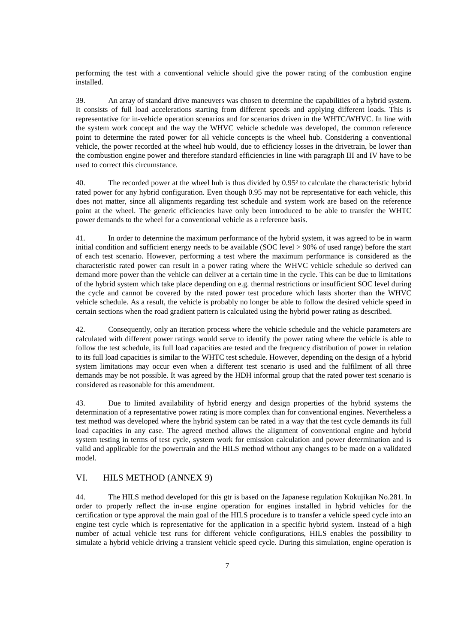performing the test with a conventional vehicle should give the power rating of the combustion engine installed.

39. An array of standard drive maneuvers was chosen to determine the capabilities of a hybrid system. It consists of full load accelerations starting from different speeds and applying different loads. This is representative for in-vehicle operation scenarios and for scenarios driven in the WHTC/WHVC. In line with the system work concept and the way the WHVC vehicle schedule was developed, the common reference point to determine the rated power for all vehicle concepts is the wheel hub. Considering a conventional vehicle, the power recorded at the wheel hub would, due to efficiency losses in the drivetrain, be lower than the combustion engine power and therefore standard efficiencies in line with paragraph III and IV have to be used to correct this circumstance.

40. The recorded power at the wheel hub is thus divided by 0.95² to calculate the characteristic hybrid rated power for any hybrid configuration. Even though 0.95 may not be representative for each vehicle, this does not matter, since all alignments regarding test schedule and system work are based on the reference point at the wheel. The generic efficiencies have only been introduced to be able to transfer the WHTC power demands to the wheel for a conventional vehicle as a reference basis.

41. In order to determine the maximum performance of the hybrid system, it was agreed to be in warm initial condition and sufficient energy needs to be available (SOC level > 90% of used range) before the start of each test scenario. However, performing a test where the maximum performance is considered as the characteristic rated power can result in a power rating where the WHVC vehicle schedule so derived can demand more power than the vehicle can deliver at a certain time in the cycle. This can be due to limitations of the hybrid system which take place depending on e.g. thermal restrictions or insufficient SOC level during the cycle and cannot be covered by the rated power test procedure which lasts shorter than the WHVC vehicle schedule. As a result, the vehicle is probably no longer be able to follow the desired vehicle speed in certain sections when the road gradient pattern is calculated using the hybrid power rating as described.

42. Consequently, only an iteration process where the vehicle schedule and the vehicle parameters are calculated with different power ratings would serve to identify the power rating where the vehicle is able to follow the test schedule, its full load capacities are tested and the frequency distribution of power in relation to its full load capacities is similar to the WHTC test schedule. However, depending on the design of a hybrid system limitations may occur even when a different test scenario is used and the fulfilment of all three demands may be not possible. It was agreed by the HDH informal group that the rated power test scenario is considered as reasonable for this amendment.

43. Due to limited availability of hybrid energy and design properties of the hybrid systems the determination of a representative power rating is more complex than for conventional engines. Nevertheless a test method was developed where the hybrid system can be rated in a way that the test cycle demands its full load capacities in any case. The agreed method allows the alignment of conventional engine and hybrid system testing in terms of test cycle, system work for emission calculation and power determination and is valid and applicable for the powertrain and the HILS method without any changes to be made on a validated model.

## VI. HILS METHOD (ANNEX 9)

44. The HILS method developed for this gtr is based on the Japanese regulation Kokujikan No.281. In order to properly reflect the in-use engine operation for engines installed in hybrid vehicles for the certification or type approval the main goal of the HILS procedure is to transfer a vehicle speed cycle into an engine test cycle which is representative for the application in a specific hybrid system. Instead of a high number of actual vehicle test runs for different vehicle configurations, HILS enables the possibility to simulate a hybrid vehicle driving a transient vehicle speed cycle. During this simulation, engine operation is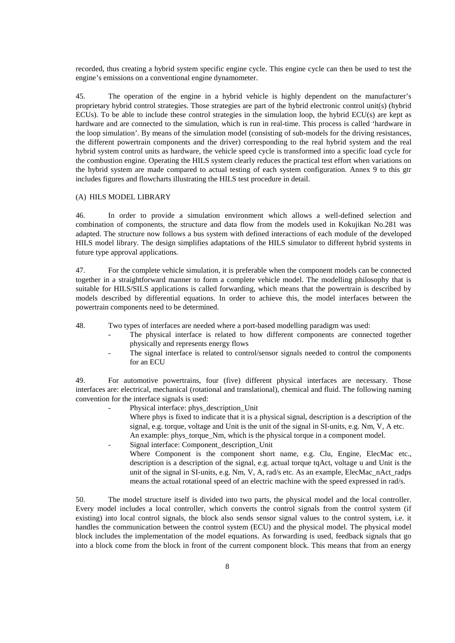recorded, thus creating a hybrid system specific engine cycle. This engine cycle can then be used to test the engine's emissions on a conventional engine dynamometer.

45. The operation of the engine in a hybrid vehicle is highly dependent on the manufacturer's proprietary hybrid control strategies. Those strategies are part of the hybrid electronic control unit(s) (hybrid ECUs). To be able to include these control strategies in the simulation loop, the hybrid ECU(s) are kept as hardware and are connected to the simulation, which is run in real-time. This process is called 'hardware in the loop simulation'. By means of the simulation model (consisting of sub-models for the driving resistances, the different powertrain components and the driver) corresponding to the real hybrid system and the real hybrid system control units as hardware, the vehicle speed cycle is transformed into a specific load cycle for the combustion engine. Operating the HILS system clearly reduces the practical test effort when variations on the hybrid system are made compared to actual testing of each system configuration. Annex 9 to this gtr includes figures and flowcharts illustrating the HILS test procedure in detail.

#### (A) HILS MODEL LIBRARY

46. In order to provide a simulation environment which allows a well-defined selection and combination of components, the structure and data flow from the models used in Kokujikan No.281 was adapted. The structure now follows a bus system with defined interactions of each module of the developed HILS model library. The design simplifies adaptations of the HILS simulator to different hybrid systems in future type approval applications.

47. For the complete vehicle simulation, it is preferable when the component models can be connected together in a straightforward manner to form a complete vehicle model. The modelling philosophy that is suitable for HILS/SILS applications is called forwarding, which means that the powertrain is described by models described by differential equations. In order to achieve this, the model interfaces between the powertrain components need to be determined.

48. Two types of interfaces are needed where a port-based modelling paradigm was used:

- The physical interface is related to how different components are connected together physically and represents energy flows
- The signal interface is related to control/sensor signals needed to control the components for an ECU

49. For automotive powertrains, four (five) different physical interfaces are necessary. Those interfaces are: electrical, mechanical (rotational and translational), chemical and fluid. The following naming convention for the interface signals is used:

- Physical interface: phys\_description\_Unit Where phys is fixed to indicate that it is a physical signal, description is a description of the signal, e.g. torque, voltage and Unit is the unit of the signal in SI-units, e.g. Nm, V, A etc. An example: phys\_torque\_Nm, which is the physical torque in a component model.
- Signal interface: Component\_description\_Unit Where Component is the component short name, e.g. Clu, Engine, ElecMac etc., description is a description of the signal, e.g. actual torque tqAct, voltage u and Unit is the

unit of the signal in SI-units, e.g. Nm, V, A, rad/s etc. As an example, ElecMac\_nAct\_radps means the actual rotational speed of an electric machine with the speed expressed in rad/s.

50. The model structure itself is divided into two parts, the physical model and the local controller. Every model includes a local controller, which converts the control signals from the control system (if existing) into local control signals, the block also sends sensor signal values to the control system, i.e. it handles the communication between the control system (ECU) and the physical model. The physical model block includes the implementation of the model equations. As forwarding is used, feedback signals that go into a block come from the block in front of the current component block. This means that from an energy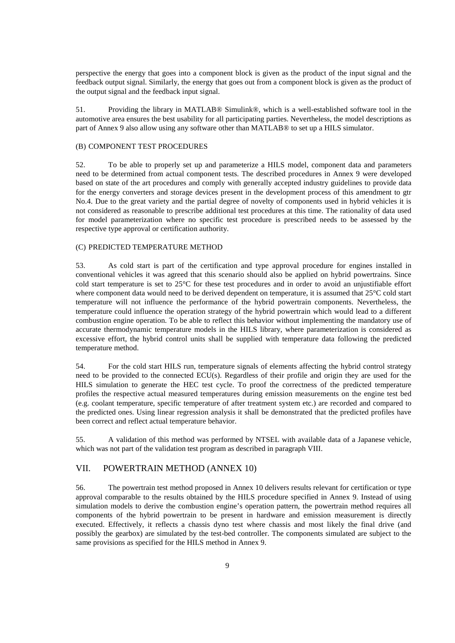perspective the energy that goes into a component block is given as the product of the input signal and the feedback output signal. Similarly, the energy that goes out from a component block is given as the product of the output signal and the feedback input signal.

51. Providing the library in MATLAB® Simulink®, which is a well-established software tool in the automotive area ensures the best usability for all participating parties. Nevertheless, the model descriptions as part of Annex 9 also allow using any software other than MATLAB® to set up a HILS simulator.

#### (B) COMPONENT TEST PROCEDURES

52. To be able to properly set up and parameterize a HILS model, component data and parameters need to be determined from actual component tests. The described procedures in Annex 9 were developed based on state of the art procedures and comply with generally accepted industry guidelines to provide data for the energy converters and storage devices present in the development process of this amendment to gtr No.4. Due to the great variety and the partial degree of novelty of components used in hybrid vehicles it is not considered as reasonable to prescribe additional test procedures at this time. The rationality of data used for model parameterization where no specific test procedure is prescribed needs to be assessed by the respective type approval or certification authority.

#### (C) PREDICTED TEMPERATURE METHOD

53. As cold start is part of the certification and type approval procedure for engines installed in conventional vehicles it was agreed that this scenario should also be applied on hybrid powertrains. Since cold start temperature is set to 25°C for these test procedures and in order to avoid an unjustifiable effort where component data would need to be derived dependent on temperature, it is assumed that 25°C cold start temperature will not influence the performance of the hybrid powertrain components. Nevertheless, the temperature could influence the operation strategy of the hybrid powertrain which would lead to a different combustion engine operation. To be able to reflect this behavior without implementing the mandatory use of accurate thermodynamic temperature models in the HILS library, where parameterization is considered as excessive effort, the hybrid control units shall be supplied with temperature data following the predicted temperature method.

54. For the cold start HILS run, temperature signals of elements affecting the hybrid control strategy need to be provided to the connected ECU(s). Regardless of their profile and origin they are used for the HILS simulation to generate the HEC test cycle. To proof the correctness of the predicted temperature profiles the respective actual measured temperatures during emission measurements on the engine test bed (e.g. coolant temperature, specific temperature of after treatment system etc.) are recorded and compared to the predicted ones. Using linear regression analysis it shall be demonstrated that the predicted profiles have been correct and reflect actual temperature behavior.

55. A validation of this method was performed by NTSEL with available data of a Japanese vehicle, which was not part of the validation test program as described in paragraph VIII.

## VII. POWERTRAIN METHOD (ANNEX 10)

56. The powertrain test method proposed in Annex 10 delivers results relevant for certification or type approval comparable to the results obtained by the HILS procedure specified in Annex 9. Instead of using simulation models to derive the combustion engine's operation pattern, the powertrain method requires all components of the hybrid powertrain to be present in hardware and emission measurement is directly executed. Effectively, it reflects a chassis dyno test where chassis and most likely the final drive (and possibly the gearbox) are simulated by the test-bed controller. The components simulated are subject to the same provisions as specified for the HILS method in Annex 9.